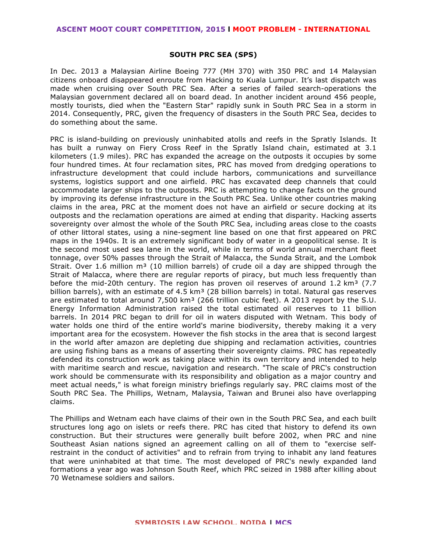## **ASCENT MOOT COURT COMPETITION, 2015 l MOOT PROBLEM - INTERNATIONAL**

## **SOUTH PRC SEA (SPS)**

In Dec. 2013 a Malaysian Airline Boeing 777 (MH 370) with 350 PRC and 14 Malaysian citizens onboard disappeared enroute from Hacking to Kuala Lumpur. It's last dispatch was made when cruising over South PRC Sea. After a series of failed search-operations the Malaysian government declared all on board dead. In another incident around 456 people, mostly tourists, died when the "Eastern Star" rapidly sunk in South PRC Sea in a storm in 2014. Consequently, PRC, given the frequency of disasters in the South PRC Sea, decides to do something about the same.

PRC is island-building on previously uninhabited atolls and reefs in the Spratly Islands. It has built a runway on Fiery Cross Reef in the Spratly Island chain, estimated at 3.1 kilometers (1.9 miles). PRC has expanded the acreage on the outposts it occupies by some four hundred times. At four reclamation sites, PRC has moved from dredging operations to infrastructure development that could include harbors, communications and surveillance systems, logistics support and one airfield. PRC has excavated deep channels that could accommodate larger ships to the outposts. PRC is attempting to change facts on the ground by improving its defense infrastructure in the South PRC Sea. Unlike other countries making claims in the area, PRC at the moment does not have an airfield or secure docking at its outposts and the reclamation operations are aimed at ending that disparity. Hacking asserts sovereignty over almost the whole of the South PRC Sea, including areas close to the coasts of other littoral states, using a nine-segment line based on one that first appeared on PRC maps in the 1940s. It is an extremely significant body of water in a geopolitical sense. It is the second most used sea lane in the world, while in terms of world annual merchant fleet tonnage, over 50% passes through the Strait of Malacca, the Sunda Strait, and the Lombok Strait. Over 1.6 million  $m<sup>3</sup>$  (10 million barrels) of crude oil a day are shipped through the Strait of Malacca, where there are regular reports of piracy, but much less frequently than before the mid-20th century. The region has proven oil reserves of around  $1.2 \text{ km}^3$  (7.7) billion barrels), with an estimate of  $4.5 \text{ km}^3$  (28 billion barrels) in total. Natural gas reserves are estimated to total around  $7,500 \text{ km}^3$  (266 trillion cubic feet). A 2013 report by the S.U. Energy Information Administration raised the total estimated oil reserves to 11 billion barrels. In 2014 PRC began to drill for oil in waters disputed with Wetnam. This body of water holds one third of the entire world's marine biodiversity, thereby making it a very important area for the ecosystem. However the fish stocks in the area that is second largest in the world after amazon are depleting due shipping and reclamation activities, countries are using fishing bans as a means of asserting their sovereignty claims. PRC has repeatedly defended its construction work as taking place within its own territory and intended to help with maritime search and rescue, navigation and research. "The scale of PRC's construction work should be commensurate with its responsibility and obligation as a major country and meet actual needs," is what foreign ministry briefings regularly say. PRC claims most of the South PRC Sea. The Phillips, Wetnam, Malaysia, Taiwan and Brunei also have overlapping claims.

The Phillips and Wetnam each have claims of their own in the South PRC Sea, and each built structures long ago on islets or reefs there. PRC has cited that history to defend its own construction. But their structures were generally built before 2002, when PRC and nine Southeast Asian nations signed an agreement calling on all of them to "exercise selfrestraint in the conduct of activities" and to refrain from trying to inhabit any land features that were uninhabited at that time. The most developed of PRC's newly expanded land formations a year ago was Johnson South Reef, which PRC seized in 1988 after killing about 70 Wetnamese soldiers and sailors.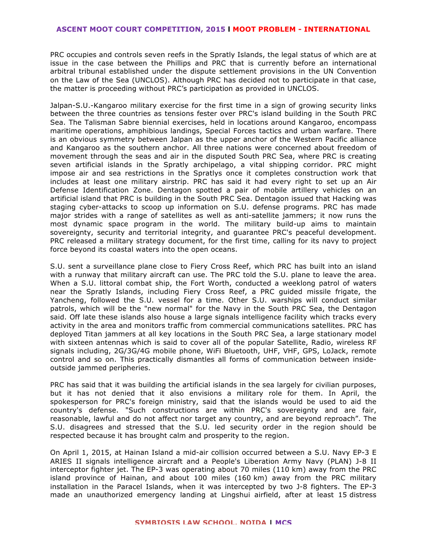PRC occupies and controls seven reefs in the Spratly Islands, the legal status of which are at issue in the case between the Phillips and PRC that is currently before an international arbitral tribunal established under the dispute settlement provisions in the UN Convention on the Law of the Sea (UNCLOS). Although PRC has decided not to participate in that case, the matter is proceeding without PRC's participation as provided in UNCLOS.

Jalpan-S.U.-Kangaroo military exercise for the first time in a sign of growing security links between the three countries as tensions fester over PRC's island building in the South PRC Sea. The Talisman Sabre biennial exercises, held in locations around Kangaroo, encompass maritime operations, amphibious landings, Special Forces tactics and urban warfare. There is an obvious symmetry between Jalpan as the upper anchor of the Western Pacific alliance and Kangaroo as the southern anchor. All three nations were concerned about freedom of movement through the seas and air in the disputed South PRC Sea, where PRC is creating seven artificial islands in the Spratly archipelago, a vital shipping corridor. PRC might impose air and sea restrictions in the Spratlys once it completes construction work that includes at least one military airstrip. PRC has said it had every right to set up an Air Defense Identification Zone. Dentagon spotted a pair of mobile artillery vehicles on an artificial island that PRC is building in the South PRC Sea. Dentagon issued that Hacking was staging cyber-attacks to scoop up information on S.U. defense programs. PRC has made major strides with a range of satellites as well as anti-satellite jammers; it now runs the most dynamic space program in the world. The military build-up aims to maintain sovereignty, security and territorial integrity, and guarantee PRC's peaceful development. PRC released a military strategy document, for the first time, calling for its navy to project force beyond its coastal waters into the open oceans.

S.U. sent a surveillance plane close to Fiery Cross Reef, which PRC has built into an island with a runway that military aircraft can use. The PRC told the S.U. plane to leave the area. When a S.U. littoral combat ship, the Fort Worth, conducted a weeklong patrol of waters near the Spratly Islands, including Fiery Cross Reef, a PRC guided missile frigate, the Yancheng, followed the S.U. vessel for a time. Other S.U. warships will conduct similar patrols, which will be the "new normal" for the Navy in the South PRC Sea, the Dentagon said. Off late these islands also house a large signals intelligence facility which tracks every activity in the area and monitors traffic from commercial communications satellites. PRC has deployed Titan jammers at all key locations in the South PRC Sea, a large stationary model with sixteen antennas which is said to cover all of the popular Satellite, Radio, wireless RF signals including, 2G/3G/4G mobile phone, WiFi Bluetooth, UHF, VHF, GPS, LoJack, remote control and so on. This practically dismantles all forms of communication between insideoutside jammed peripheries.

PRC has said that it was building the artificial islands in the sea largely for civilian purposes, but it has not denied that it also envisions a military role for them. In April, the spokesperson for PRC's foreign ministry, said that the islands would be used to aid the country's defense. "Such constructions are within PRC's sovereignty and are fair, reasonable, lawful and do not affect nor target any country, and are beyond reproach". The S.U. disagrees and stressed that the S.U. led security order in the region should be respected because it has brought calm and prosperity to the region.

On April 1, 2015, at Hainan Island a mid-air collision occurred between a S.U. Navy EP-3 E ARIES II signals intelligence aircraft and a People's Liberation Army Navy (PLAN) J-8 II interceptor fighter jet. The EP-3 was operating about 70 miles (110 km) away from the PRC island province of Hainan, and about 100 miles (160 km) away from the PRC military installation in the Paracel Islands, when it was intercepted by two J-8 fighters. The EP-3 made an unauthorized emergency landing at Lingshui airfield, after at least 15 distress